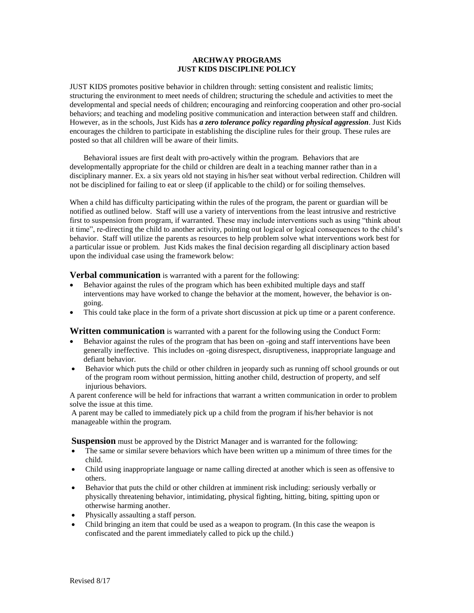## **ARCHWAY PROGRAMS JUST KIDS DISCIPLINE POLICY**

JUST KIDS promotes positive behavior in children through: setting consistent and realistic limits; structuring the environment to meet needs of children; structuring the schedule and activities to meet the developmental and special needs of children; encouraging and reinforcing cooperation and other pro-social behaviors; and teaching and modeling positive communication and interaction between staff and children. However, as in the schools, Just Kids has *a zero tolerance policy regarding physical aggression*. Just Kids encourages the children to participate in establishing the discipline rules for their group. These rules are posted so that all children will be aware of their limits.

Behavioral issues are first dealt with pro-actively within the program. Behaviors that are developmentally appropriate for the child or children are dealt in a teaching manner rather than in a disciplinary manner. Ex. a six years old not staying in his/her seat without verbal redirection. Children will not be disciplined for failing to eat or sleep (if applicable to the child) or for soiling themselves.

When a child has difficulty participating within the rules of the program, the parent or guardian will be notified as outlined below. Staff will use a variety of interventions from the least intrusive and restrictive first to suspension from program, if warranted. These may include interventions such as using "think about it time", re-directing the child to another activity, pointing out logical or logical consequences to the child's behavior. Staff will utilize the parents as resources to help problem solve what interventions work best for a particular issue or problem. Just Kids makes the final decision regarding all disciplinary action based upon the individual case using the framework below:

**Verbal communication** is warranted with a parent for the following:

- Behavior against the rules of the program which has been exhibited multiple days and staff interventions may have worked to change the behavior at the moment, however, the behavior is ongoing.
- This could take place in the form of a private short discussion at pick up time or a parent conference.

**Written communication** is warranted with a parent for the following using the Conduct Form:

- Behavior against the rules of the program that has been on -going and staff interventions have been generally ineffective. This includes on -going disrespect, disruptiveness, inappropriate language and defiant behavior.
- Behavior which puts the child or other children in jeopardy such as running off school grounds or out of the program room without permission, hitting another child, destruction of property, and self injurious behaviors.

A parent conference will be held for infractions that warrant a written communication in order to problem solve the issue at this time.

A parent may be called to immediately pick up a child from the program if his/her behavior is not manageable within the program.

**Suspension** must be approved by the District Manager and is warranted for the following:

- The same or similar severe behaviors which have been written up a minimum of three times for the child.
- Child using inappropriate language or name calling directed at another which is seen as offensive to others.
- Behavior that puts the child or other children at imminent risk including: seriously verbally or physically threatening behavior, intimidating, physical fighting, hitting, biting, spitting upon or otherwise harming another.
- Physically assaulting a staff person.
- Child bringing an item that could be used as a weapon to program. (In this case the weapon is confiscated and the parent immediately called to pick up the child.)